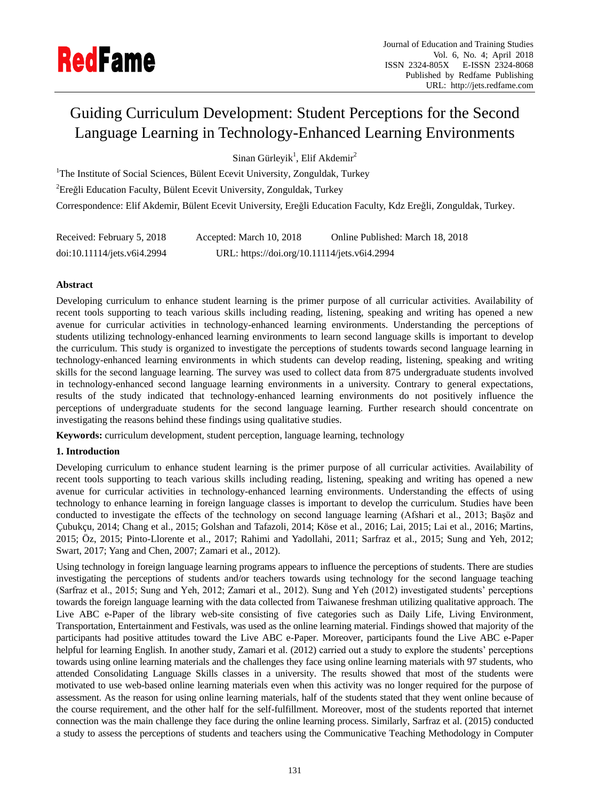# Guiding Curriculum Development: Student Perceptions for the Second Language Learning in Technology-Enhanced Learning Environments

Sinan Gürleyik<sup>1</sup>, Elif Akdemir<sup>2</sup>

<sup>1</sup>The Institute of Social Sciences, B ülent Ecevit University, Zonguldak, Turkey

<sup>2</sup>Ereğli Education Faculty, Bülent Ecevit University, Zonguldak, Turkey

Correspondence: Elif Akdemir, Bülent Ecevit University, Ereğli Education Faculty, Kdz Ereğli, Zonguldak, Turkey.

| Received: February 5, 2018  | Accepted: March 10, 2018                     | Online Published: March 18, 2018 |
|-----------------------------|----------------------------------------------|----------------------------------|
| doi:10.11114/jets.v6i4.2994 | URL: https://doi.org/10.11114/jets.v6i4.2994 |                                  |

## **Abstract**

Developing curriculum to enhance student learning is the primer purpose of all curricular activities. Availability of recent tools supporting to teach various skills including reading, listening, speaking and writing has opened a new avenue for curricular activities in technology-enhanced learning environments. Understanding the perceptions of students utilizing technology-enhanced learning environments to learn second language skills is important to develop the curriculum. This study is organized to investigate the perceptions of students towards second language learning in technology-enhanced learning environments in which students can develop reading, listening, speaking and writing skills for the second language learning. The survey was used to collect data from 875 undergraduate students involved in technology-enhanced second language learning environments in a university. Contrary to general expectations, results of the study indicated that technology-enhanced learning environments do not positively influence the perceptions of undergraduate students for the second language learning. Further research should concentrate on investigating the reasons behind these findings using qualitative studies.

**Keywords:** curriculum development, student perception, language learning, technology

# **1. Introduction**

Developing curriculum to enhance student learning is the primer purpose of all curricular activities. Availability of recent tools supporting to teach various skills including reading, listening, speaking and writing has opened a new avenue for curricular activities in technology-enhanced learning environments. Understanding the effects of using technology to enhance learning in foreign language classes is important to develop the curriculum. Studies have been conducted to investigate the effects of the technology on second language learning (Afshari et al., 2013; Başöz and Çubukçu, 2014; Chang et al., 2015; Golshan and Tafazoli, 2014; Köse et al., 2016; Lai, 2015; Lai et al., 2016; Martins, 2015; Öz, 2015; Pinto-Llorente et al., 2017; Rahimi and Yadollahi, 2011; Sarfraz et al., 2015; Sung and Yeh, 2012; Swart, 2017; Yang and Chen, 2007; Zamari et al., 2012).

Using technology in foreign language learning programs appears to influence the perceptions of students. There are studies investigating the perceptions of students and/or teachers towards using technology for the second language teaching (Sarfraz et al., 2015; Sung and Yeh, 2012; Zamari et al., 2012). Sung and Yeh (2012) investigated students' perceptions towards the foreign language learning with the data collected from Taiwanese freshman utilizing qualitative approach. The Live ABC e-Paper of the library web-site consisting of five categories such as Daily Life, Living Environment, Transportation, Entertainment and Festivals, was used as the online learning material. Findings showed that majority of the participants had positive attitudes toward the Live ABC e-Paper. Moreover, participants found the Live ABC e-Paper helpful for learning English. In another study, Zamari et al. (2012) carried out a study to explore the students' perceptions towards using online learning materials and the challenges they face using online learning materials with 97 students, who attended Consolidating Language Skills classes in a university. The results showed that most of the students were motivated to use web-based online learning materials even when this activity was no longer required for the purpose of assessment. As the reason for using online learning materials, half of the students stated that they went online because of the course requirement, and the other half for the self-fulfillment. Moreover, most of the students reported that internet connection was the main challenge they face during the online learning process. Similarly, Sarfraz et al. (2015) conducted a study to assess the perceptions of students and teachers using the Communicative Teaching Methodology in Computer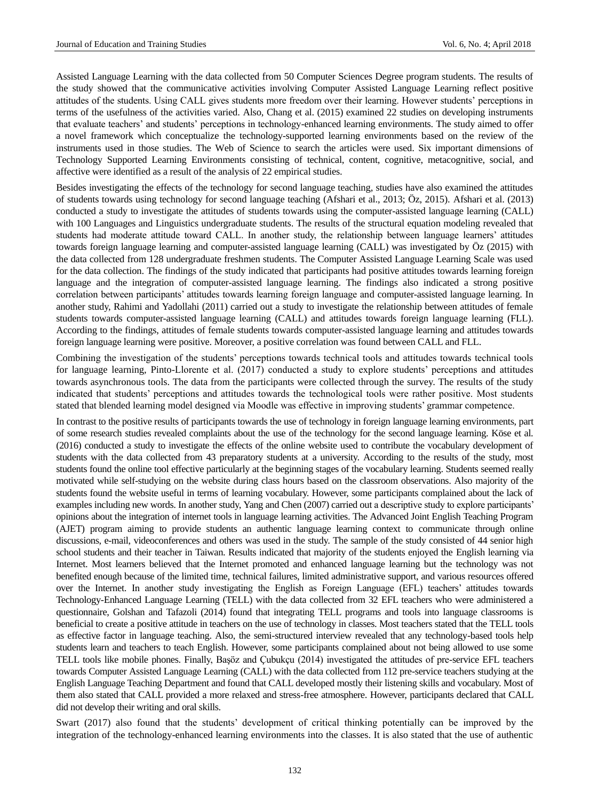Assisted Language Learning with the data collected from 50 Computer Sciences Degree program students. The results of the study showed that the communicative activities involving Computer Assisted Language Learning reflect positive attitudes of the students. Using CALL gives students more freedom over their learning. However students' perceptions in terms of the usefulness of the activities varied. Also, Chang et al. (2015) examined 22 studies on developing instruments that evaluate teachers' and students' perceptions in technology-enhanced learning environments. The study aimed to offer a novel framework which conceptualize the technology-supported learning environments based on the review of the instruments used in those studies. The Web of Science to search the articles were used. Six important dimensions of Technology Supported Learning Environments consisting of technical, content, cognitive, metacognitive, social, and affective were identified as a result of the analysis of 22 empirical studies.

Besides investigating the effects of the technology for second language teaching, studies have also examined the attitudes of students towards using technology for second language teaching (Afshari et al., 2013; Öz, 2015). Afshari et al. (2013) conducted a study to investigate the attitudes of students towards using the computer-assisted language learning (CALL) with 100 Languages and Linguistics undergraduate students. The results of the structural equation modeling revealed that students had moderate attitude toward CALL. In another study, the relationship between language learners' attitudes towards foreign language learning and computer-assisted language learning (CALL) was investigated by Öz (2015) with the data collected from 128 undergraduate freshmen students. The Computer Assisted Language Learning Scale was used for the data collection. The findings of the study indicated that participants had positive attitudes towards learning foreign language and the integration of computer-assisted language learning. The findings also indicated a strong positive correlation between participants' attitudes towards learning foreign language and computer-assisted language learning. In another study, Rahimi and Yadollahi (2011) carried out a study to investigate the relationship between attitudes of female students towards computer-assisted language learning (CALL) and attitudes towards foreign language learning (FLL). According to the findings, attitudes of female students towards computer-assisted language learning and attitudes towards foreign language learning were positive. Moreover, a positive correlation was found between CALL and FLL.

Combining the investigation of the students' perceptions towards technical tools and attitudes towards technical tools for language learning, Pinto-Llorente et al. (2017) conducted a study to explore students' perceptions and attitudes towards asynchronous tools. The data from the participants were collected through the survey. The results of the study indicated that students' perceptions and attitudes towards the technological tools were rather positive. Most students stated that blended learning model designed via Moodle was effective in improving students' grammar competence.

In contrast to the positive results of participants towards the use of technology in foreign language learning environments, part of some research studies revealed complaints about the use of the technology for the second language learning. Köse et al. (2016) conducted a study to investigate the effects of the online website used to contribute the vocabulary development of students with the data collected from 43 preparatory students at a university. According to the results of the study, most students found the online tool effective particularly at the beginning stages of the vocabulary learning. Students seemed really motivated while self-studying on the website during class hours based on the classroom observations. Also majority of the students found the website useful in terms of learning vocabulary. However, some participants complained about the lack of examples including new words. In another study, Yang and Chen (2007) carried out a descriptive study to explore participants' opinions about the integration of internet tools in language learning activities. The Advanced Joint English Teaching Program (AJET) program aiming to provide students an authentic language learning context to communicate through online discussions, e-mail, videoconferences and others was used in the study. The sample of the study consisted of 44 senior high school students and their teacher in Taiwan. Results indicated that majority of the students enjoyed the English learning via Internet. Most learners believed that the Internet promoted and enhanced language learning but the technology was not benefited enough because of the limited time, technical failures, limited administrative support, and various resources offered over the Internet. In another study investigating the English as Foreign Language (EFL) teachers' attitudes towards Technology-Enhanced Language Learning (TELL) with the data collected from 32 EFL teachers who were administered a questionnaire, Golshan and Tafazoli (2014) found that integrating TELL programs and tools into language classrooms is beneficial to create a positive attitude in teachers on the use of technology in classes. Most teachers stated that the TELL tools as effective factor in language teaching. Also, the semi-structured interview revealed that any technology-based tools help students learn and teachers to teach English. However, some participants complained about not being allowed to use some TELL tools like mobile phones. Finally, Başöz and Çubukçu (2014) investigated the attitudes of pre-service EFL teachers towards Computer Assisted Language Learning (CALL) with the data collected from 112 pre-service teachers studying at the English Language Teaching Department and found that CALL developed mostly their listening skills and vocabulary. Most of them also stated that CALL provided a more relaxed and stress-free atmosphere. However, participants declared that CALL did not develop their writing and oral skills.

Swart (2017) also found that the students' development of critical thinking potentially can be improved by the integration of the technology-enhanced learning environments into the classes. It is also stated that the use of authentic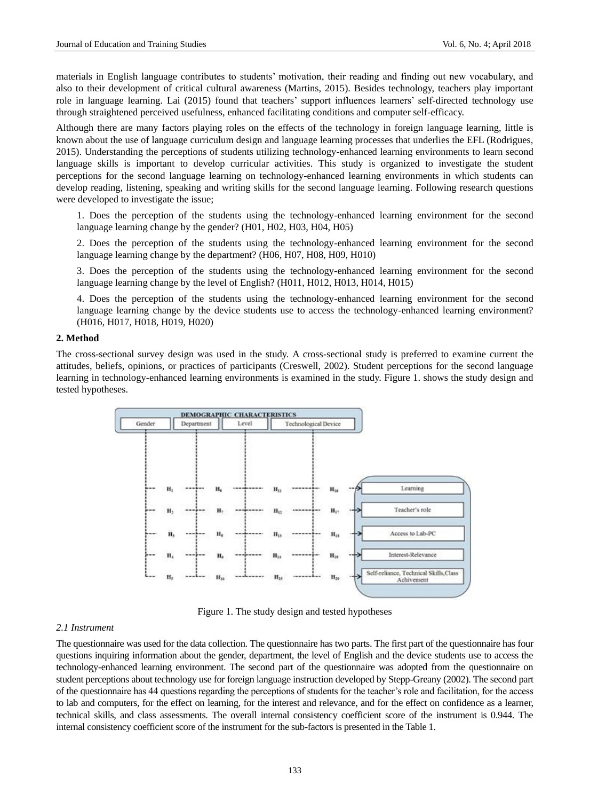materials in English language contributes to students' motivation, their reading and finding out new vocabulary, and also to their development of critical cultural awareness (Martins, 2015). Besides technology, teachers play important role in language learning. Lai (2015) found that teachers' support influences learners' self-directed technology use through straightened perceived usefulness, enhanced facilitating conditions and computer self-efficacy.

Although there are many factors playing roles on the effects of the technology in foreign language learning, little is known about the use of language curriculum design and language learning processes that underlies the EFL (Rodrigues, 2015). Understanding the perceptions of students utilizing technology-enhanced learning environments to learn second language skills is important to develop curricular activities. This study is organized to investigate the student perceptions for the second language learning on technology-enhanced learning environments in which students can develop reading, listening, speaking and writing skills for the second language learning. Following research questions were developed to investigate the issue;

1. Does the perception of the students using the technology-enhanced learning environment for the second language learning change by the gender? (H01, H02, H03, H04, H05)

2. Does the perception of the students using the technology-enhanced learning environment for the second language learning change by the department? (H06, H07, H08, H09, H010)

3. Does the perception of the students using the technology-enhanced learning environment for the second language learning change by the level of English? (H011, H012, H013, H014, H015)

4. Does the perception of the students using the technology-enhanced learning environment for the second language learning change by the device students use to access the technology-enhanced learning environment? (H016, H017, H018, H019, H020)

#### **2. Method**

The cross-sectional survey design was used in the study. A cross-sectional study is preferred to examine current the attitudes, beliefs, opinions, or practices of participants (Creswell, 2002). Student perceptions for the second language learning in technology-enhanced learning environments is examined in the study. Figure 1. shows the study design and tested hypotheses.



Figure 1. The study design and tested hypotheses

#### *2.1 Instrument*

The questionnaire was used for the data collection. The questionnaire has two parts. The first part of the questionnaire has four questions inquiring information about the gender, department, the level of English and the device students use to access the technology-enhanced learning environment. The second part of the questionnaire was adopted from the questionnaire on student perceptions about technology use for foreign language instruction developed by Stepp-Greany (2002). The second part of the questionnaire has 44 questions regarding the perceptions of students for the teacher's role and facilitation, for the access to lab and computers, for the effect on learning, for the interest and relevance, and for the effect on confidence as a learner, technical skills, and class assessments. The overall internal consistency coefficient score of the instrument is 0.944. The internal consistency coefficient score of the instrument for the sub-factors is presented in the Table 1.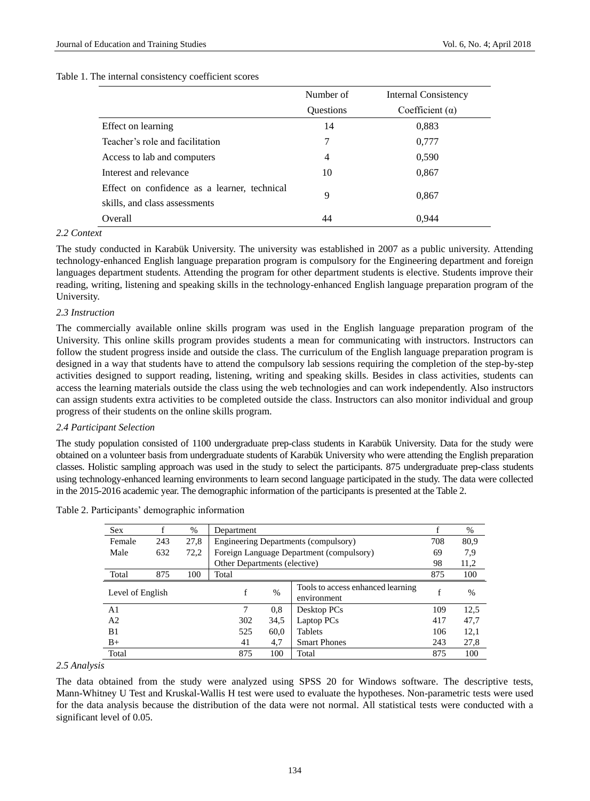#### Table 1. The internal consistency coefficient scores

|                                              | Number of        | <b>Internal Consistency</b> |
|----------------------------------------------|------------------|-----------------------------|
|                                              | <b>Ouestions</b> | Coefficient $(\alpha)$      |
| Effect on learning                           | 14               | 0,883                       |
| Teacher's role and facilitation              | 7                | 0,777                       |
| Access to lab and computers                  | 4                | 0,590                       |
| Interest and relevance                       | 10               | 0,867                       |
| Effect on confidence as a learner, technical |                  |                             |
| skills, and class assessments                | 9                | 0,867                       |
| Overall                                      | 44               | 0.944                       |

## *2.2 Context*

The study conducted in Karabük University. The university was established in 2007 as a public university. Attending technology-enhanced English language preparation program is compulsory for the Engineering department and foreign languages department students. Attending the program for other department students is elective. Students improve their reading, writing, listening and speaking skills in the technology-enhanced English language preparation program of the University.

### *2.3 Instruction*

The commercially available online skills program was used in the English language preparation program of the University. This online skills program provides students a mean for communicating with instructors. Instructors can follow the student progress inside and outside the class. The curriculum of the English language preparation program is designed in a way that students have to attend the compulsory lab sessions requiring the completion of the step-by-step activities designed to support reading, listening, writing and speaking skills. Besides in class activities, students can access the learning materials outside the class using the web technologies and can work independently. Also instructors can assign students extra activities to be completed outside the class. Instructors can also monitor individual and group progress of their students on the online skills program.

## *2.4 Participant Selection*

The study population consisted of 1100 undergraduate prep-class students in Karabük University. Data for the study were obtained on a volunteer basis from undergraduate students of Karabük University who were attending the English preparation classes. Holistic sampling approach was used in the study to select the participants. 875 undergraduate prep-class students using technology-enhanced learning environments to learn second language participated in the study. The data were collected in the 2015-2016 academic year. The demographic information of the participants is presented at the Table 2.

| <b>Sex</b>       |     | $\%$ | Department                   |      |                                                  |     | %             |
|------------------|-----|------|------------------------------|------|--------------------------------------------------|-----|---------------|
| Female           | 243 | 27,8 |                              |      | Engineering Departments (compulsory)             | 708 | 80,9          |
| Male             | 632 | 72,2 |                              |      | Foreign Language Department (compulsory)         | 69  | 7,9           |
|                  |     |      | Other Departments (elective) |      |                                                  | 98  | 11,2          |
| Total            | 875 | 100  | Total                        |      |                                                  | 875 | 100           |
| Level of English |     |      | f                            | $\%$ | Tools to access enhanced learning<br>environment | f   | $\frac{0}{0}$ |
| A <sub>1</sub>   |     |      | 7                            | 0,8  | Desktop PCs                                      | 109 | 12,5          |
| A <sub>2</sub>   |     |      | 302                          | 34,5 | Laptop PCs                                       | 417 | 47,7          |
| B1               |     |      | 525                          | 60,0 | <b>Tablets</b>                                   | 106 | 12,1          |
| $B+$             |     |      | 41                           | 4,7  | <b>Smart Phones</b>                              | 243 | 27,8          |
| Total            |     |      | 875                          | 100  | Total                                            | 875 | 100           |

Table 2. Participants' demographic information

## *2.5 Analysis*

The data obtained from the study were analyzed using SPSS 20 for Windows software. The descriptive tests, Mann-Whitney U Test and Kruskal-Wallis H test were used to evaluate the hypotheses. Non-parametric tests were used for the data analysis because the distribution of the data were not normal. All statistical tests were conducted with a significant level of 0.05.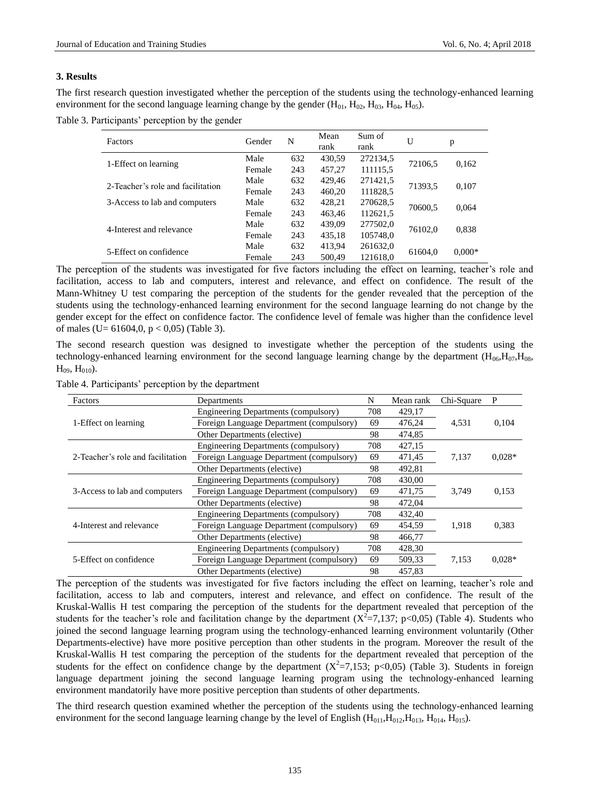### **3. Results**

The first research question investigated whether the perception of the students using the technology-enhanced learning environment for the second language learning change by the gender  $(H_{01}, H_{02}, H_{03}, H_{04}, H_{05})$ .

Table 3. Participants' perception by the gender

| Factors                           | Gender | N   | Mean<br>rank | Sum of<br>rank | U       | p        |  |
|-----------------------------------|--------|-----|--------------|----------------|---------|----------|--|
| 1-Effect on learning              | Male   | 632 | 430,59       | 272134,5       | 72106,5 | 0,162    |  |
|                                   | Female | 243 | 457.27       | 111115.5       |         |          |  |
| 2-Teacher's role and facilitation | Male   | 632 | 429.46       | 271421,5       | 71393,5 | 0,107    |  |
|                                   | Female | 243 | 460,20       | 111828,5       |         |          |  |
| 3-Access to lab and computers     | Male   | 632 | 428.21       | 270628,5       | 70600,5 | 0,064    |  |
|                                   | Female | 243 | 463.46       | 112621,5       |         |          |  |
| 4-Interest and relevance          | Male   | 632 | 439,09       | 277502,0       | 76102.0 | 0,838    |  |
|                                   | Female | 243 | 435,18       | 105748,0       |         |          |  |
| 5-Effect on confidence            | Male   | 632 | 413,94       | 261632,0       | 61604,0 | $0,000*$ |  |
|                                   | Female | 243 | 500.49       | 121618.0       |         |          |  |

The perception of the students was investigated for five factors including the effect on learning, teacher's role and facilitation, access to lab and computers, interest and relevance, and effect on confidence. The result of the Mann-Whitney U test comparing the perception of the students for the gender revealed that the perception of the students using the technology-enhanced learning environment for the second language learning do not change by the gender except for the effect on confidence factor. The confidence level of female was higher than the confidence level of males (U=  $61604, 0, p < 0,05$ ) (Table 3).

The second research question was designed to investigate whether the perception of the students using the technology-enhanced learning environment for the second language learning change by the department  $(H_{06},H_{07},H_{08},H_{108})$  $H_{09}$ ,  $H_{010}$ ).

| Factors                           | Departments                                 | N   | Mean rank | Chi-Square | P        |
|-----------------------------------|---------------------------------------------|-----|-----------|------------|----------|
|                                   | Engineering Departments (compulsory)        | 708 | 429,17    |            |          |
| 1-Effect on learning              | Foreign Language Department (compulsory)    | 69  | 476,24    | 4,531      | 0,104    |
|                                   | Other Departments (elective)                |     | 474,85    |            |          |
|                                   | Engineering Departments (compulsory)        | 708 | 427,15    |            |          |
| 2-Teacher's role and facilitation | Foreign Language Department (compulsory)    | 69  | 471,45    | 7,137      | $0.028*$ |
|                                   | Other Departments (elective)                | 98  | 492.81    |            |          |
|                                   | Engineering Departments (compulsory)        | 708 | 430,00    |            |          |
| 3-Access to lab and computers     | Foreign Language Department (compulsory)    |     | 471,75    | 3,749      | 0,153    |
|                                   | Other Departments (elective)                | 98  | 472.04    |            |          |
|                                   | Engineering Departments (compulsory)        | 708 | 432,40    |            |          |
| 4-Interest and relevance          | Foreign Language Department (compulsory)    |     | 454,59    | 1,918      | 0,383    |
|                                   | Other Departments (elective)                | 98  | 466,77    |            |          |
| 5-Effect on confidence            | <b>Engineering Departments (compulsory)</b> | 708 | 428,30    |            |          |
|                                   | Foreign Language Department (compulsory)    |     | 509,33    | 7,153      | $0.028*$ |
|                                   | Other Departments (elective)                | 98  | 457.83    |            |          |

Table 4. Participants' perception by the department

The perception of the students was investigated for five factors including the effect on learning, teacher's role and facilitation, access to lab and computers, interest and relevance, and effect on confidence. The result of the Kruskal-Wallis H test comparing the perception of the students for the department revealed that perception of the students for the teacher's role and facilitation change by the department  $(X^2=7,137; p<0,05)$  (Table 4). Students who joined the second language learning program using the technology-enhanced learning environment voluntarily (Other Departments-elective) have more positive perception than other students in the program. Moreover the result of the Kruskal-Wallis H test comparing the perception of the students for the department revealed that perception of the students for the effect on confidence change by the department  $(X^2=7,153; p<0,05)$  (Table 3). Students in foreign language department joining the second language learning program using the technology-enhanced learning environment mandatorily have more positive perception than students of other departments.

The third research question examined whether the perception of the students using the technology-enhanced learning environment for the second language learning change by the level of English ( $H_{011}, H_{012}, H_{013}, H_{014}, H_{015}$ ).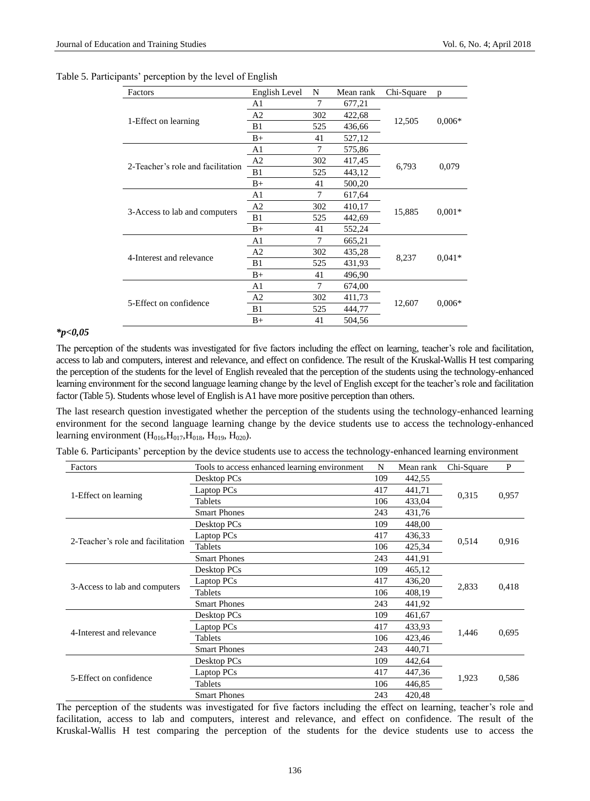|  | Table 5. Participants' perception by the level of English |  |
|--|-----------------------------------------------------------|--|
|--|-----------------------------------------------------------|--|

| Factors                           | English Level  | N   | Mean rank | Chi-Square | p        |  |
|-----------------------------------|----------------|-----|-----------|------------|----------|--|
|                                   | A1             | 7   | 677,21    |            |          |  |
|                                   | A <sub>2</sub> | 302 | 422,68    | 12,505     | $0.006*$ |  |
| 1-Effect on learning              | B1             | 525 | 436,66    |            |          |  |
|                                   | $B+$           | 41  | 527,12    |            |          |  |
|                                   | A <sub>1</sub> | 7   | 575,86    |            |          |  |
| 2-Teacher's role and facilitation | A <sub>2</sub> | 302 | 417,45    |            | 0,079    |  |
|                                   | B1             | 525 | 443,12    | 6,793      |          |  |
|                                   | $B+$           | 41  | 500,20    |            |          |  |
|                                   | A <sub>1</sub> | 7   | 617,64    |            | $0.001*$ |  |
|                                   | A <sub>2</sub> | 302 | 410,17    |            |          |  |
| 3-Access to lab and computers     | B1             | 525 | 442,69    | 15,885     |          |  |
|                                   | $B+$           | 41  | 552,24    |            |          |  |
|                                   | A1             | 7   | 665,21    |            |          |  |
| 4-Interest and relevance          | A <sub>2</sub> | 302 | 435,28    |            |          |  |
|                                   | B1             | 525 | 431,93    | 8,237      | $0.041*$ |  |
|                                   | $B+$           | 41  | 496,90    |            |          |  |
|                                   | A1             | 7   | 674,00    |            |          |  |
| 5-Effect on confidence            | A <sub>2</sub> | 302 | 411,73    |            |          |  |
|                                   | B1             | 525 | 444,77    | 12,607     | $0.006*$ |  |
|                                   | $B+$           | 41  | 504,56    |            |          |  |

## *\*p<0,05*

The perception of the students was investigated for five factors including the effect on learning, teacher's role and facilitation, access to lab and computers, interest and relevance, and effect on confidence. The result of the Kruskal-Wallis H test comparing the perception of the students for the level of English revealed that the perception of the students using the technology-enhanced learning environment for the second language learning change by the level of English except for the teacher's role and facilitation factor (Table 5). Students whose level of English is A1 have more positive perception than others.

The last research question investigated whether the perception of the students using the technology-enhanced learning environment for the second language learning change by the device students use to access the technology-enhanced learning environment ( $H<sub>016</sub>, H<sub>017</sub>, H<sub>018</sub>, H<sub>019</sub>, H<sub>020</sub>$ ).

|  |  |  |  |  | Table 6. Participants' perception by the device students use to access the technology-enhanced learning environment |
|--|--|--|--|--|---------------------------------------------------------------------------------------------------------------------|
|--|--|--|--|--|---------------------------------------------------------------------------------------------------------------------|

| Factors                           | Tools to access enhanced learning environment | N   | Mean rank | Chi-Square | P     |
|-----------------------------------|-----------------------------------------------|-----|-----------|------------|-------|
|                                   | Desktop PCs                                   | 109 | 442,55    |            |       |
|                                   | Laptop PCs                                    | 417 | 441,71    |            |       |
| 1-Effect on learning              | Tablets                                       |     | 433,04    | 0,315      | 0,957 |
|                                   | <b>Smart Phones</b>                           | 243 | 431,76    |            |       |
|                                   | Desktop PCs                                   | 109 | 448,00    |            |       |
| 2-Teacher's role and facilitation | Laptop PCs                                    | 417 | 436,33    | 0,514      | 0,916 |
|                                   | Tablets                                       | 106 | 425,34    |            |       |
|                                   | <b>Smart Phones</b>                           | 243 | 441,91    |            |       |
|                                   | Desktop PCs                                   | 109 | 465,12    |            |       |
| 3-Access to lab and computers     | Laptop PCs<br>Tablets                         |     | 436,20    | 2,833      | 0,418 |
|                                   |                                               |     | 408,19    |            |       |
|                                   | <b>Smart Phones</b>                           | 243 | 441,92    |            |       |
|                                   | Desktop PCs                                   | 109 | 461,67    |            |       |
| 4-Interest and relevance          | Laptop PCs                                    | 417 | 433,93    | 1,446      |       |
|                                   | Tablets                                       | 106 | 423,46    |            | 0,695 |
|                                   | <b>Smart Phones</b>                           | 243 | 440,71    |            |       |
|                                   | Desktop PCs                                   | 109 | 442,64    |            |       |
| 5-Effect on confidence            | Laptop PCs                                    | 417 | 447,36    | 1,923      | 0,586 |
|                                   | Tablets                                       | 106 | 446,85    |            |       |
|                                   | <b>Smart Phones</b>                           | 243 | 420,48    |            |       |

The perception of the students was investigated for five factors including the effect on learning, teacher's role and facilitation, access to lab and computers, interest and relevance, and effect on confidence. The result of the Kruskal-Wallis H test comparing the perception of the students for the device students use to access the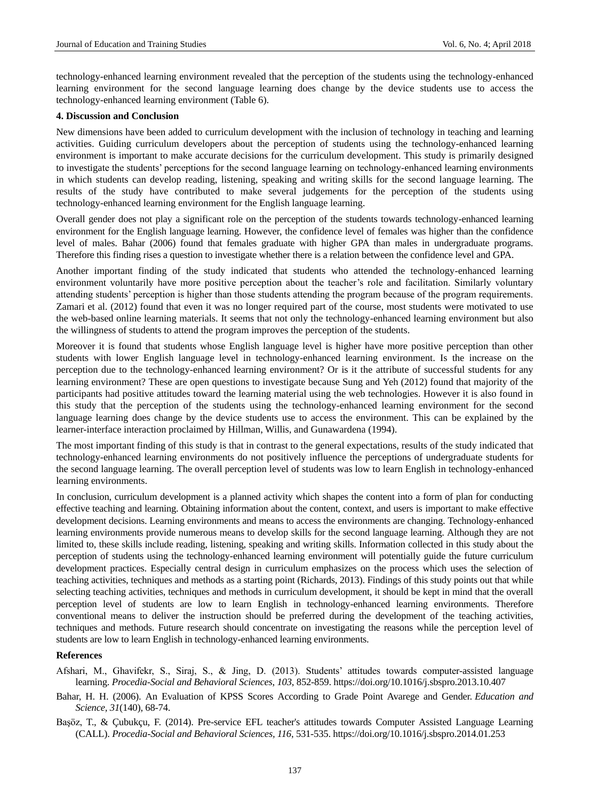technology-enhanced learning environment revealed that the perception of the students using the technology-enhanced learning environment for the second language learning does change by the device students use to access the technology-enhanced learning environment (Table 6).

### **4. Discussion and Conclusion**

New dimensions have been added to curriculum development with the inclusion of technology in teaching and learning activities. Guiding curriculum developers about the perception of students using the technology-enhanced learning environment is important to make accurate decisions for the curriculum development. This study is primarily designed to investigate the students' perceptions for the second language learning on technology-enhanced learning environments in which students can develop reading, listening, speaking and writing skills for the second language learning. The results of the study have contributed to make several judgements for the perception of the students using technology-enhanced learning environment for the English language learning.

Overall gender does not play a significant role on the perception of the students towards technology-enhanced learning environment for the English language learning. However, the confidence level of females was higher than the confidence level of males. Bahar (2006) found that females graduate with higher GPA than males in undergraduate programs. Therefore this finding rises a question to investigate whether there is a relation between the confidence level and GPA.

Another important finding of the study indicated that students who attended the technology-enhanced learning environment voluntarily have more positive perception about the teacher's role and facilitation. Similarly voluntary attending students' perception is higher than those students attending the program because of the program requirements. Zamari et al. (2012) found that even it was no longer required part of the course, most students were motivated to use the web-based online learning materials. It seems that not only the technology-enhanced learning environment but also the willingness of students to attend the program improves the perception of the students.

Moreover it is found that students whose English language level is higher have more positive perception than other students with lower English language level in technology-enhanced learning environment. Is the increase on the perception due to the technology-enhanced learning environment? Or is it the attribute of successful students for any learning environment? These are open questions to investigate because Sung and Yeh (2012) found that majority of the participants had positive attitudes toward the learning material using the web technologies. However it is also found in this study that the perception of the students using the technology-enhanced learning environment for the second language learning does change by the device students use to access the environment. This can be explained by the learner-interface interaction proclaimed by Hillman, Willis, and Gunawardena (1994).

The most important finding of this study is that in contrast to the general expectations, results of the study indicated that technology-enhanced learning environments do not positively influence the perceptions of undergraduate students for the second language learning. The overall perception level of students was low to learn English in technology-enhanced learning environments.

In conclusion, curriculum development is a planned activity which shapes the content into a form of plan for conducting effective teaching and learning. Obtaining information about the content, context, and users is important to make effective development decisions. Learning environments and means to access the environments are changing. Technology-enhanced learning environments provide numerous means to develop skills for the second language learning. Although they are not limited to, these skills include reading, listening, speaking and writing skills. Information collected in this study about the perception of students using the technology-enhanced learning environment will potentially guide the future curriculum development practices. Especially central design in curriculum emphasizes on the process which uses the selection of teaching activities, techniques and methods as a starting point (Richards, 2013). Findings of this study points out that while selecting teaching activities, techniques and methods in curriculum development, it should be kept in mind that the overall perception level of students are low to learn English in technology-enhanced learning environments. Therefore conventional means to deliver the instruction should be preferred during the development of the teaching activities, techniques and methods. Future research should concentrate on investigating the reasons while the perception level of students are low to learn English in technology-enhanced learning environments.

#### **References**

- Afshari, M., Ghavifekr, S., Siraj, S., & Jing, D. (2013). Students' attitudes towards computer-assisted language learning. *Procedia-Social and Behavioral Sciences*, *103*, 852-859.<https://doi.org/10.1016/j.sbspro.2013.10.407>
- Bahar, H. H. (2006). An Evaluation of KPSS Scores According to Grade Point Avarege and Gender. *Education and Science, 31*(140), 68-74.
- Başöz, T., & Çubukçu, F. (2014). Pre-service EFL teacher's attitudes towards Computer Assisted Language Learning (CALL). *Procedia-Social and Behavioral Sciences, 116*, 531-535[. https://doi.org/10.1016/j.sbspro.2014.01.253](https://doi.org/10.1016/j.sbspro.2014.01.253)